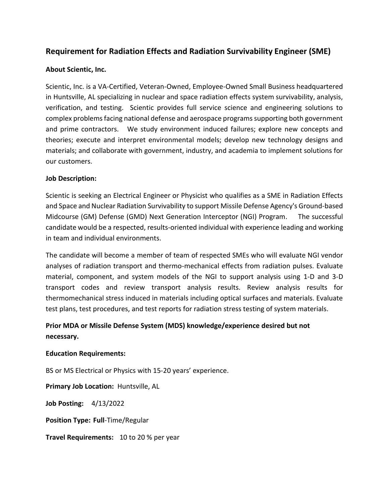# **Requirement for Radiation Effects and Radiation Survivability Engineer (SME)**

### **About Scientic, Inc.**

Scientic, Inc. is a VA-Certified, Veteran-Owned, Employee-Owned Small Business headquartered in Huntsville, AL specializing in nuclear and space radiation effects system survivability, analysis, verification, and testing. Scientic provides full service science and engineering solutions to complex problems facing national defense and aerospace programs supporting both government and prime contractors. We study environment induced failures; explore new concepts and theories; execute and interpret environmental models; develop new technology designs and materials; and collaborate with government, industry, and academia to implement solutions for our customers.

#### **Job Description:**

Scientic is seeking an Electrical Engineer or Physicist who qualifies as a SME in Radiation Effects and Space and Nuclear Radiation Survivability to support Missile Defense Agency's Ground-based Midcourse (GM) Defense (GMD) Next Generation Interceptor (NGI) Program. The successful candidate would be a respected, results-oriented individual with experience leading and working in team and individual environments.

The candidate will become a member of team of respected SMEs who will evaluate NGI vendor analyses of radiation transport and thermo-mechanical effects from radiation pulses. Evaluate material, component, and system models of the NGI to support analysis using 1-D and 3-D transport codes and review transport analysis results. Review analysis results for thermomechanical stress induced in materials including optical surfaces and materials. Evaluate test plans, test procedures, and test reports for radiation stress testing of system materials.

# **Prior MDA or Missile Defense System (MDS) knowledge/experience desired but not necessary.**

#### **Education Requirements:**

BS or MS Electrical or Physics with 15-20 years' experience.

**Primary Job Location:** Huntsville, AL

**Job Posting:** 4/13/2022

**Position Type: Full**-Time/Regular

**Travel Requirements:** 10 to 20 % per year